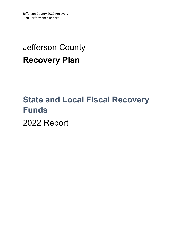## Jefferson County **Recovery Plan**

# **State and Local Fiscal Recovery Funds**

2022 Report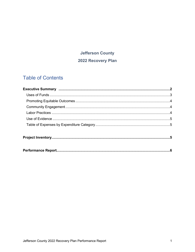### **Jefferson County** 2022 Recovery Plan

### **Table of Contents**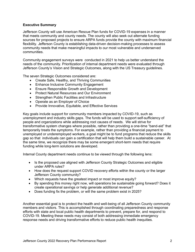#### **Executive Summary**

Jefferson County will use American Rescue Plan funds for COVID-19 expenses in a manner that meets community and county needs. The county will also seek out alternate funding sources for proposed projects to ensure ARPA funds provide the county with maximum financial flexibility. Jefferson County is establishing data-driven decision-making processes to assess community needs that make meaningful impacts to our most vulnerable and underserved communities.

Community engagement surveys were conducted in 2021 to help us better understand the needs of the community. Prioritization of internal department needs were evaluated through Jefferson County's Vision and Strategic Outcomes, along with the US Treasury guidelines.

The seven Strategic Outcomes considered are:

- Create Safe, Healthy, and Thriving Communities
- Enhance Inclusive Community Engagement
- Ensure Responsible Growth and Development
- Protect Natural Resources and Our Environment
- Strengthen Public Facilities and Infrastructure
- Operate as an Employer of Choice
- Provide Innovative, Equitable, and Effective Services

Key goals include support for community members impacted by COVID-19, such as unemployment and industry skills gaps. The funds will be used to support self-sufficiency of people and organizations while addressing root causes of needs. We will strive for transformative system changes where possible, rather than providing a one-time "band-aid" that temporarily treats the symptoms. For example, rather than providing a financial payment to unemployed or underemployed workers, a goal might be to fund programs that reduce the skills gap so that individuals can gain a certification that will help them build a sustainable career. At the same time, we recognize there may be some emergent short-term needs that require funding while long-term solutions are developed.

Internal County department needs continue to be viewed through the following lens:

- Is the proposed use aligned with Jefferson County Strategic Outcomes and eligible under ARPA rules?
- How does the request support COVID recovery efforts within the county or the larger Jefferson County community?
- Which requests have the greatest impact or most improve equity?
- By spending this money right now, will operations be sustainable going forward? Does it create operational savings or help generate additional revenue?
- Does funding fix the problem, or will the same problem exist in 2025?

Another essential goal is to protect the health and well-being of all Jefferson County community members and visitors. This is accomplished through coordinating preparedness and response efforts with state and local public health departments to prevent, prepare for, and respond to COVID-19. Meeting these needs may consist of both addressing immediate emergency response needs and driving transformative efforts to reduce public health inequities.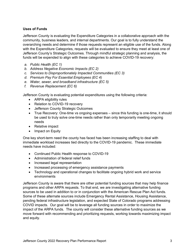#### **Uses of Funds**

Jefferson County is evaluating the Expenditure Categories in a collaborative approach with the community, business leaders, and internal departments. Our goal is to fully understand the overarching needs and determine if those requests represent an eligible use of the funds. Along with the Expenditure Categories, requests will be evaluated to ensure they meet at least one of Jefferson County's Strategic Outcomes. Through mindful strategic planning and analysis, the funds will be expended to align with these categories to achieve COVID-19 recovery:

- *a. Public Health (EC 1)*
- *b. Address Negative Economic Impacts (EC 2)*
- *c. Services to Disproportionately Impacted Communities (EC 3)*
- *d. Premium Pay For Essential Employees (EC 4)*
- *e. Water, sewer, and broadband infrastructure (EC 5)*
- *f. Revenue Replacement (EC 6)*

Jefferson County is evaluating potential expenditures using the following criteria:

- ARPA eligibility rules
- Relation to COVID-19 recovery
- Jefferson County Strategic Outcomes
- True Recovery: One-time vs ongoing expenses since this funding is one-time, it should be used to truly solve one-time needs rather than only temporarily meeting ongoing needs
- Relative impact
- Impact on Equity

One key short-term need the county has faced has been increasing staffing to deal with immediate workload increases tied directly to the COVID-19 pandemic. These immediate needs have included:

- Continued Public Health response to COVID-19
- Administration of federal relief funds
- Increased legal representation
- Increased processing of emergency assistance payments
- Technology and operational changes to facilitate ongoing hybrid work and service environments

Jefferson County is aware that there are other potential funding sources that may help finance programs and other ARPA requests. To that end, we are investigating alternative funding sources to be used in addition to or in conjunction with the American Rescue Plan Act funds. Some of these alternate sources include Emergency Rental Assistance, Housing Assistance, pending federal infrastructure legislation, and expected State of Colorado programs addressing COVID impacts. Our goal will be to leverage all funding sources in order to maximize the impact of the ARPA funds. The county will consider these alternative funding sources as we move forward with recommending and prioritizing requests, working towards maximizing impact and equity.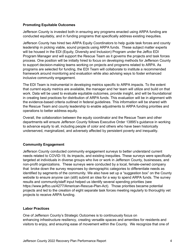#### **Promoting Equitable Outcomes**

Jefferson County is invested both in ensuring any programs enacted using ARPA funding are conducted equitably, and in funding programs that specifically address existing inequities.

Jefferson County has hired two ARPA Equity Coordinators to help guide task forces and county leadership in picking viable, sound projects using ARPA funds. These subject matter experts will be housed in the EDI (Equity, Diversity and Inclusion) Program under the Jeffco EDI Program Manager and will support the Rescue Team as it governs the projects and task forces process. One position will be initially hired to focus on developing methods for Jefferson County to support decision-making teams working on projects and programs related to ARPA. As programs are selected for funding, the EDI Team will collaborate to institute a recommended framework around monitoring and evaluation while also advising ways to foster enhanced inclusive community engagement.

The EDI Team is instrumental in developing metrics specific to ARPA impacts. To the extent that current equity metrics are available, the manager and her team will utilize and build on that work. Data will be used to evaluate equitable outcomes, provide insight, and will be foundational in creating best practices for distribution of ARPA funds. This evaluation will be in alignment with the evidence-based criteria outlined in federal guidelines. This information will be shared with the Rescue Team and county leadership to enable adjustments to ARPA funding priorities and operations to better address equity.

Overall, the collaboration between the equity coordinator and the Rescue Team and other departments will ensure Jefferson County follows Executive Order 13895's guidance in working to advance equity to all, including people of color and others who have been historically underserved, marginalized, and adversely affected by persistent poverty and inequality.

#### **Community Engagement**

Jefferson County conducted community engagement surveys to better understand current needs related to COVID-19, its impacts, and existing inequities. These surveys were specifically targeted at individuals in diverse groups who live or work in Jefferson County, businesses, and non-profit organizations. These surveys were conducted by a local, female-owned company that broke down the survey responses by demographic categories to differentiate needs as identified by segments of the community. We also have set up a "suggestion box" on the County website to ensure anyone can (still) submit an idea for a way to spend ARPA funds. The survey results and community/staff input helped us identify several spending priorities (see https://www.jeffco.us/4277/American-Rescue-Plan-Act). Those priorities became potential projects and led to the creation of eight separate task forces meeting regularly to thoroughly vet projects to receive ARPA funding.

#### **Labor Practices**

One of Jefferson County's Strategic Outcomes is to continuously focus on enhancing infrastructure resiliency, creating versatile spaces and amenities for residents and visitors to enjoy, and ensuring ease of movement within the County. We recognize that one of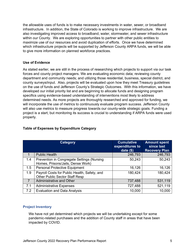the allowable uses of funds is to make necessary investments in water, sewer, or broadband infrastructure. In addition, the State of Colorado is working to improve infrastructure. We are also investigating improved access to broadband, water, stormwater, and sewer infrastructure within our County. We are exploring opportunities to partner with other public entities to maximize use of our resources and avoid duplication of efforts. Once we have determined which infrastructure projects will be supported by Jefferson County ARPA funds, we will be able to give more information on planned workforce practices.

#### **Use of Evidence**

As stated earlier, we are still in the process of researching which projects to support via our task forces and county project managers. We are evaluating economic data; reviewing county department and community needs; and utilizing those residential, business, special district, and county surveys/input. Also, projects will be evaluated upon how they meet Treasury guidelines on the use of funds and Jefferson County's Strategic Outcomes. With this information, we have developed our initial priority list and are beginning to allocate funds and designing program specifics using evidence-based understanding of interventions most likely to address determined needs. As more projects are thoroughly researched and approved for funding, we will incorporate the use of metrics to continuously evaluate program success. Jefferson County will also use metrics to measure progress towards our county-wide strategic goals. Funding a project is a start, but monitoring its success is crucial to understanding if ARPA funds were used properly.

|                | Category                                                                              | <b>Cumulative</b><br>expenditures to<br>date $($ math) | <b>Amount spent</b><br>since last<br><b>Recovery Plan</b> |
|----------------|---------------------------------------------------------------------------------------|--------------------------------------------------------|-----------------------------------------------------------|
|                | <b>Public Health</b>                                                                  | 246,793                                                | 246,793                                                   |
| 1.4            | Prevention in Congregate Settings (Nursing<br>Homes, Prisons/Jails, Dense Work)       | 50,243                                                 | 50,243                                                    |
| 1.5            | <b>Personal Protective Equipment</b>                                                  | 16,126                                                 | 16,126                                                    |
| 1.9            | Payroll Costs for Public Health, Safety, and<br><b>Other Public Sector Staff Resp</b> | 180,424                                                | 180,424                                                   |
| $\overline{7}$ | <b>Administrative and Other</b>                                                       | 737,488                                                | 531,119                                                   |
| 7.1            | <b>Administrative Expenses</b>                                                        | 727,488                                                | 521,119                                                   |
| 7.2            | <b>Evaluation and Data Analysis</b>                                                   | 10,000                                                 | 10,000                                                    |

#### **Table of Expenses by Expenditure Category**

#### **Project Inventory**

We have not yet determined which projects we will be undertaking except for some pandemic-related purchases and the addition of County staff in areas that have been impacted by COVID.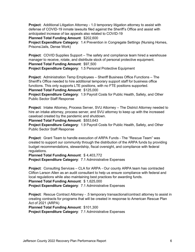**Project**: Additional Litigation Attorney - 1.0 temporary litigation attorney to assist with defense of COVID-19 inmate lawsuits filed against the Sheriff's Office and assist with anticipated increase of tax appeals also related to COVID-19

**Planned Total Funding Amount**: \$202,600

**Project Expenditure Category**: 1.4 Prevention in Congregate Settings (Nursing Homes, Prisons/Jails, Dense Work)

**Project**: COVID Supplies Support – The safety and compliance team hired a warehouse manager to receive, rotate, and distribute stock of personal protective equipment. **Planned Total Funding Amount**: \$97,500

**Project Expenditure Category**: 1.5 Personal Protective Equipment

**Project**: Administration Temp Employees – Sheriff Business Office Functions – The Sheriff's Office needed to hire additional temporary support staff for business office functions. This only supports LTE positions, with no FTE positions supported. **Planned Total Funding Amount**: \$125,000

**Project Expenditure Category**: 1.9 Payroll Costs for Public Health, Safety, and Other Public Sector Staff Response

**Project**: Intake Attorney, Process Server, SVU Attorney – The District Attorney needed to hire an intake attorney, process server, and SVU attorney to keep up with the increased caseload created by the pandemic and shutdown.

**Planned Total Funding Amount**: \$553,643

**Project Expenditure Category**: 1.9 Payroll Costs for Public Health, Safety, and Other Public Sector Staff Response

**Project**: Grant Team to handle execution of ARPA Funds - The "Rescue Team" was created to support our community through the distribution of the ARPA funds by providing budget recommendations, stewardship, fiscal oversight, and compliance with federal regulations.

**Planned Total Funding Amount**: \$ 4,403,772 **Project Expenditure Category**: 7.1 Administrative Expenses

**Project**: Consulting Services – CLA for ARPA - Our county ARPA team has contracted Clifton Larson Allen as an audit consultant to help us ensure compliance with federal and local regulations while also maintaining best practices for awarding funds.

**Planned Total Funding Amount**: \$ 1,625,000

**Project Expenditure Category**: 7.1 Administrative Expenses

**Project**: Rescue Contract Attorney - .5 temporary transactional/contract attorney to assist in creating contracts for programs that will be created in response to American Rescue Plan Act of 2021 (ARPA)

**Planned Total Funding Amount**: \$101,300 **Project Expenditure Category**: 7.1 Administrative Expenses